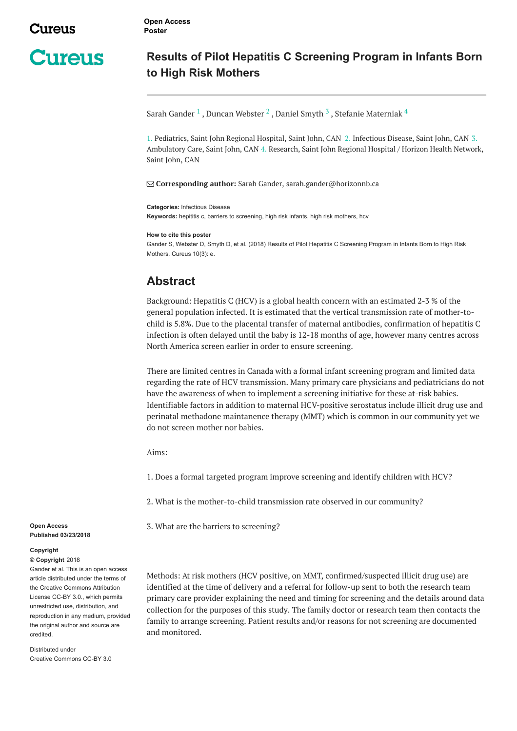**Cureus** 

**Open Access Poster**

## **Results of Pilot Hepatitis C Screening Program in Infants Born to High Risk Mothers**

Sarah [Gander](https://www.cureus.com/users/120050-sarah-gander)  $^1$  , Duncan [Webster](https://www.cureus.com/users/128274-duncan-webster)  $^2$  , [Daniel](https://www.cureus.com/users/128276-daniel-smyth) Smyth  $^3$  , Stefanie [Materniak](https://www.cureus.com/users/128277-stefanie-materniak)  $^4$ 

1. Pediatrics, Saint John Regional Hospital, Saint John, CAN 2. Infectious Disease, Saint John, CAN 3. Ambulatory Care, Saint John, CAN 4. Research, Saint John Regional Hospital / Horizon Health Network, Saint John, CAN

**Corresponding author:** Sarah Gander, sarah.gander@horizonnb.ca

**Categories:** Infectious Disease

**Keywords:** hepititis c, barriers to screening, high risk infants, high risk mothers, hcv

**How to cite this poster**

Gander S, Webster D, Smyth D, et al. (2018) Results of Pilot Hepatitis C Screening Program in Infants Born to High Risk Mothers. Cureus 10(3): e.

## **Abstract**

Background: Hepatitis C (HCV) is a global health concern with an estimated 2-3 % of the general population infected. It is estimated that the vertical transmission rate of mother-tochild is 5.8%. Due to the placental transfer of maternal antibodies, confirmation of hepatitis C infection is often delayed until the baby is 12-18 months of age, however many centres across North America screen earlier in order to ensure screening.

There are limited centres in Canada with a formal infant screening program and limited data regarding the rate of HCV transmission. Many primary care physicians and pediatricians do not have the awareness of when to implement a screening initiative for these at-risk babies. Identifiable factors in addition to maternal HCV-positive serostatus include illicit drug use and perinatal methadone maintanence therapy (MMT) which is common in our community yet we do not screen mother nor babies.

Aims:

1. Does a formal targeted program improve screening and identify children with HCV?

2. What is the mother-to-child transmission rate observed in our community?

3. What are the barriers to screening?

Methods: At risk mothers (HCV positive, on MMT, confirmed/suspected illicit drug use) are identified at the time of delivery and a referral for follow-up sent to both the research team primary care provider explaining the need and timing for screening and the details around data collection for the purposes of this study. The family doctor or research team then contacts the family to arrange screening. Patient results and/or reasons for not screening are documented and monitored.

**Open Access Published 03/23/2018**

## **Copyright**

**© Copyright** 2018

Gander et al. This is an open access article distributed under the terms of the Creative Commons Attribution License CC-BY 3.0., which permits unrestricted use, distribution, and reproduction in any medium, provided the original author and source are credited.

Distributed under Creative Commons CC-BY 3.0